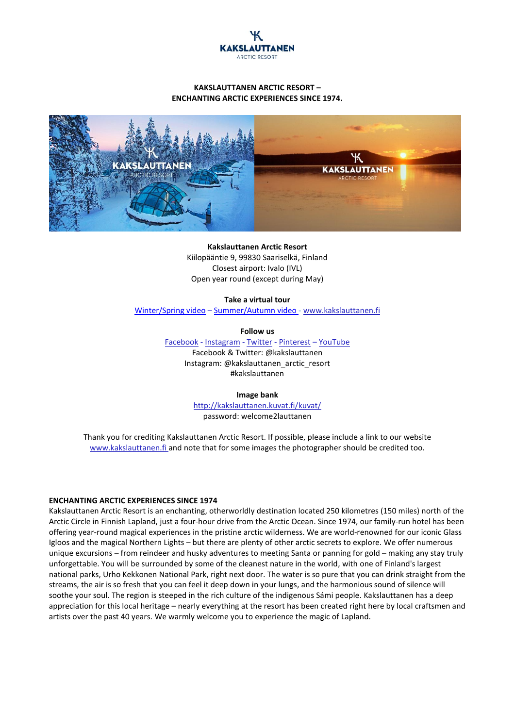

# **KAKSLAUTTANEN ARCTIC RESORT – ENCHANTING ARCTIC EXPERIENCES SINCE 1974.**



# **Kakslauttanen Arctic Resort**

Kiilopääntie 9, 99830 Saariselkä, Finland Closest airport: Ivalo (IVL) Open year round (except during May)

#### **Take a virtual tour**

[Winter/Spring video](https://www.youtube.com/watch?v=Rhs1qLIjfww) – [Summer/Autumn video](https://www.youtube.com/watch?v=bSiY3-k2BB4) - [www.kakslauttanen.fi](http://www.kakslauttanen.fi/)

**Follow us**

[Facebook](https://www.facebook.com/kakslauttanen/?ref=aymt_homepage_panel) - [Instagram](https://www.instagram.com/kakslauttanen_arctic_resort/) - [Twitter](https://twitter.com/kakslauttanen) - [Pinterest](https://fi.pinterest.com/kakslauttanen/) – [YouTube](https://www.youtube.com/channel/UCSW3etOnigH1eFas48uHCgg) Facebook & Twitter: @kakslauttanen Instagram: @kakslauttanen\_arctic\_resort #kakslauttanen

### **Image bank**

<http://kakslauttanen.kuvat.fi/kuvat/> password: welcome2lauttanen

Thank you for crediting Kakslauttanen Arctic Resort. If possible, please include a link to our website [www.kakslauttanen.fi](http://www.kakslauttanen.fi/) and note that for some images the photographer should be credited too.

#### **ENCHANTING ARCTIC EXPERIENCES SINCE 1974**

Kakslauttanen Arctic Resort is an enchanting, otherworldly destination located 250 kilometres (150 miles) north of the Arctic Circle in Finnish Lapland, just a four-hour drive from the Arctic Ocean. Since 1974, our family-run hotel has been offering year-round magical experiences in the pristine arctic wilderness. We are world-renowned for our iconic Glass Igloos and the magical Northern Lights – but there are plenty of other arctic secrets to explore. We offer numerous unique excursions – from reindeer and husky adventures to meeting Santa or panning for gold – making any stay truly unforgettable. You will be surrounded by some of the cleanest nature in the world, with one of Finland's largest national parks, Urho Kekkonen National Park, right next door. The water is so pure that you can drink straight from the streams, the air is so fresh that you can feel it deep down in your lungs, and the harmonious sound of silence will soothe your soul. The region is steeped in the rich culture of the indigenous Sámi people. Kakslauttanen has a deep appreciation for this local heritage – nearly everything at the resort has been created right here by local craftsmen and artists over the past 40 years. We warmly welcome you to experience the magic of Lapland.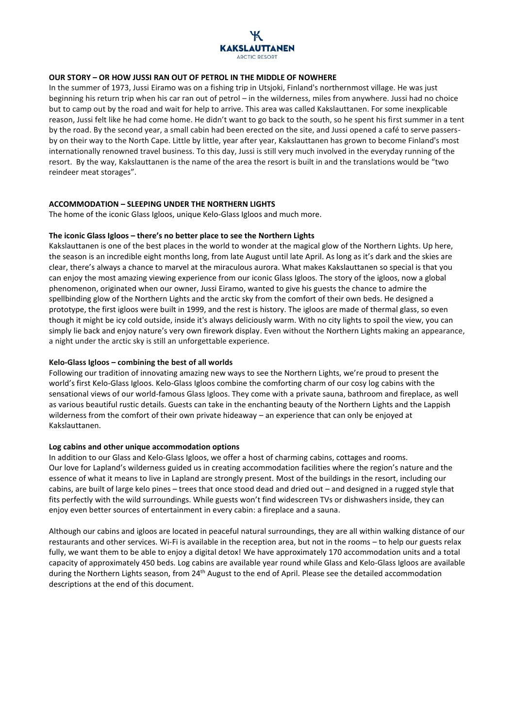# ADCTIC DESODT

# **OUR STORY – OR HOW JUSSI RAN OUT OF PETROL IN THE MIDDLE OF NOWHERE**

In the summer of 1973, Jussi Eiramo was on a fishing trip in Utsjoki, Finland's northernmost village. He was just beginning his return trip when his car ran out of petrol – in the wilderness, miles from anywhere. Jussi had no choice but to camp out by the road and wait for help to arrive. This area was called Kakslauttanen. For some inexplicable reason, Jussi felt like he had come home. He didn't want to go back to the south, so he spent his first summer in a tent by the road. By the second year, a small cabin had been erected on the site, and Jussi opened a café to serve passersby on their way to the North Cape. Little by little, year after year, Kakslauttanen has grown to become Finland's most internationally renowned travel business. To this day, Jussi is still very much involved in the everyday running of the resort. By the way, Kakslauttanen is the name of the area the resort is built in and the translations would be "two reindeer meat storages".

## **ACCOMMODATION – SLEEPING UNDER THE NORTHERN LIGHTS**

The home of the iconic Glass Igloos, unique Kelo-Glass Igloos and much more.

## **The iconic Glass Igloos – there's no better place to see the Northern Lights**

Kakslauttanen is one of the best places in the world to wonder at the magical glow of the Northern Lights. Up here, the season is an incredible eight months long, from late August until late April. As long as it's dark and the skies are clear, there's always a chance to marvel at the miraculous aurora. What makes Kakslauttanen so special is that you can enjoy the most amazing viewing experience from our iconic Glass Igloos. The story of the igloos, now a global phenomenon, originated when our owner, Jussi Eiramo, wanted to give his guests the chance to admire the spellbinding glow of the Northern Lights and the arctic sky from the comfort of their own beds. He designed a prototype, the first igloos were built in 1999, and the rest is history. The igloos are made of thermal glass, so even though it might be icy cold outside, inside it's always deliciously warm. With no city lights to spoil the view, you can simply lie back and enjoy nature's very own firework display. Even without the Northern Lights making an appearance, a night under the arctic sky is still an unforgettable experience.

## **Kelo-Glass Igloos – combining the best of all worlds**

Following our tradition of innovating amazing new ways to see the Northern Lights, we're proud to present the world's first Kelo-Glass Igloos. Kelo-Glass Igloos combine the comforting charm of our cosy log cabins with the sensational views of our world-famous Glass Igloos. They come with a private sauna, bathroom and fireplace, as well as various beautiful rustic details. Guests can take in the enchanting beauty of the Northern Lights and the Lappish wilderness from the comfort of their own private hideaway – an experience that can only be enjoyed at Kakslauttanen.

## **Log cabins and other unique accommodation options**

In addition to our Glass and Kelo-Glass Igloos, we offer a host of charming cabins, cottages and rooms. Our love for Lapland's wilderness guided us in creating accommodation facilities where the region's nature and the essence of what it means to live in Lapland are strongly present. Most of the buildings in the resort, including our cabins, are built of large kelo pines – trees that once stood dead and dried out – and designed in a rugged style that fits perfectly with the wild surroundings. While guests won't find widescreen TVs or dishwashers inside, they can enjoy even better sources of entertainment in every cabin: a fireplace and a sauna.

Although our cabins and igloos are located in peaceful natural surroundings, they are all within walking distance of our restaurants and other services. Wi-Fi is available in the reception area, but not in the rooms – to help our guests relax fully, we want them to be able to enjoy a digital detox! We have approximately 170 accommodation units and a total capacity of approximately 450 beds. Log cabins are available year round while Glass and Kelo-Glass Igloos are available during the Northern Lights season, from 24<sup>th</sup> August to the end of April. Please see the detailed accommodation descriptions at the end of this document.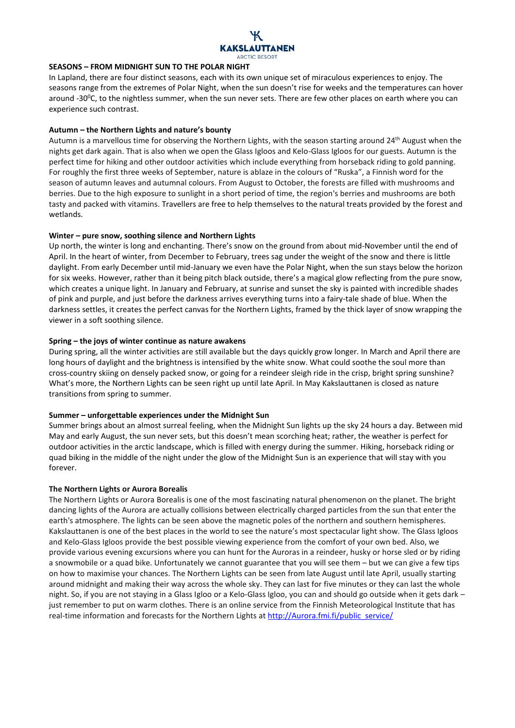

## **SEASONS – FROM MIDNIGHT SUN TO THE POLAR NIGHT**

In Lapland, there are four distinct seasons, each with its own unique set of miraculous experiences to enjoy. The seasons range from the extremes of Polar Night, when the sun doesn't rise for weeks and the temperatures can hover around -30<sup>o</sup>C, to the nightless summer, when the sun never sets. There are few other places on earth where you can experience such contrast.

# **Autumn – the Northern Lights and nature's bounty**

Autumn is a marvellous time for observing the Northern Lights, with the season starting around 24<sup>th</sup> August when the nights get dark again. That is also when we open the Glass Igloos and Kelo-Glass Igloos for our guests. Autumn is the perfect time for hiking and other outdoor activities which include everything from horseback riding to gold panning. For roughly the first three weeks of September, nature is ablaze in the colours of "Ruska", a Finnish word for the season of autumn leaves and autumnal colours. From August to October, the forests are filled with mushrooms and berries. Due to the high exposure to sunlight in a short period of time, the region's berries and mushrooms are both tasty and packed with vitamins. Travellers are free to help themselves to the natural treats provided by the forest and wetlands.

## **Winter – pure snow, soothing silence and Northern Lights**

Up north, the winter is long and enchanting. There's snow on the ground from about mid-November until the end of April. In the heart of winter, from December to February, trees sag under the weight of the snow and there is little daylight. From early December until mid-January we even have the Polar Night, when the sun stays below the horizon for six weeks. However, rather than it being pitch black outside, there's a magical glow reflecting from the pure snow, which creates a unique light. In January and February, at sunrise and sunset the sky is painted with incredible shades of pink and purple, and just before the darkness arrives everything turns into a fairy-tale shade of blue. When the darkness settles, it creates the perfect canvas for the Northern Lights, framed by the thick layer of snow wrapping the viewer in a soft soothing silence.

## **Spring – the joys of winter continue as nature awakens**

During spring, all the winter activities are still available but the days quickly grow longer. In March and April there are long hours of daylight and the brightness is intensified by the white snow. What could soothe the soul more than cross-country skiing on densely packed snow, or going for a reindeer sleigh ride in the crisp, bright spring sunshine? What's more, the Northern Lights can be seen right up until late April. In May Kakslauttanen is closed as nature transitions from spring to summer.

### **Summer – unforgettable experiences under the Midnight Sun**

Summer brings about an almost surreal feeling, when the Midnight Sun lights up the sky 24 hours a day. Between mid May and early August, the sun never sets, but this doesn't mean scorching heat; rather, the weather is perfect for outdoor activities in the arctic landscape, which is filled with energy during the summer. Hiking, horseback riding or quad biking in the middle of the night under the glow of the Midnight Sun is an experience that will stay with you forever.

# **The Northern Lights or Aurora Borealis**

The Northern Lights or Aurora Borealis is one of the most fascinating natural phenomenon on the planet. The bright dancing lights of the Aurora are actually collisions between electrically charged particles from the sun that enter the earth's atmosphere. The lights can be seen above the magnetic poles of the northern and southern hemispheres. Kakslauttanen is one of the best places in the world to see the nature's most spectacular light show. The Glass Igloos and Kelo-Glass Igloos provide the best possible viewing experience from the comfort of your own bed. Also, we provide various evening excursions where you can hunt for the Auroras in a reindeer, husky or horse sled or by riding a snowmobile or a quad bike. Unfortunately we cannot guarantee that you will see them – but we can give a few tips on how to maximise your chances. The Northern Lights can be seen from late August until late April, usually starting around midnight and making their way across the whole sky. They can last for five minutes or they can last the whole night. So, if you are not staying in a Glass Igloo or a Kelo-Glass Igloo, you can and should go outside when it gets dark – just remember to put on warm clothes. There is an online service from the Finnish Meteorological Institute that has real-time information and forecasts for the Northern Lights at [http://Aurora.fmi.fi/public\\_service/](http://aurora.fmi.fi/public_service/)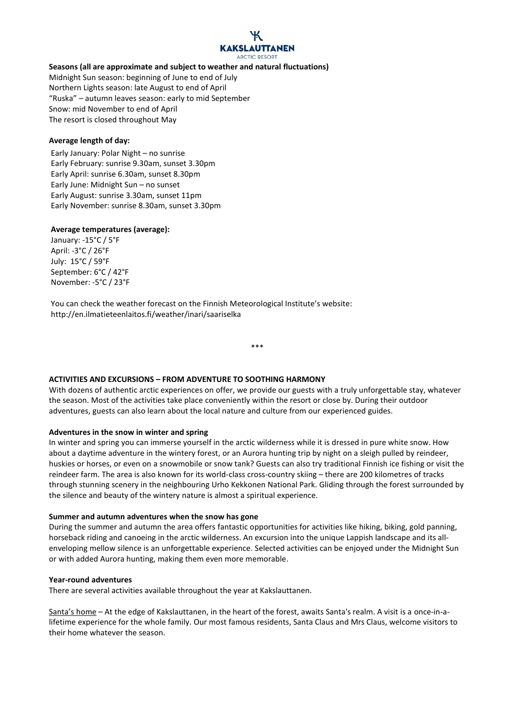# **ARCTIC RESORT**

# **Seasons (all are approximate and subject to weather and natural fluctuations)**

Midnight Sun season: beginning of June to end of July Northern Lights season: late August to end of April "Ruska" – autumn leaves season: early to mid September Snow: mid November to end of April The resort is closed throughout May

# **Average length of day:**

Early January: Polar Night – no sunrise Early February: sunrise 9.30am, sunset 3.30pm Early April: sunrise 6.30am, sunset 8.30pm Early June: Midnight Sun – no sunset Early August: sunrise 3.30am, sunset 11pm Early November: sunrise 8.30am, sunset 3.30pm

# **Average temperatures (average):**

January: -15°C / 5°F April: -3°C / 26°F July: 15°C / 59°F September: 6°C / 42°F November: -5°C / 23°F

You can check the weather forecast on the Finnish Meteorological Institute's website: http://en.ilmatieteenlaitos.fi/weather/inari/saariselka

\*\*\*

# **ACTIVITIES AND EXCURSIONS – FROM ADVENTURE TO SOOTHING HARMONY**

With dozens of authentic arctic experiences on offer, we provide our guests with a truly unforgettable stay, whatever the season. Most of the activities take place conveniently within the resort or close by. During their outdoor adventures, guests can also learn about the local nature and culture from our experienced guides.

# **Adventures in the snow in winter and spring**

In winter and spring you can immerse yourself in the arctic wilderness while it is dressed in pure white snow. How about a daytime adventure in the wintery forest, or an Aurora hunting trip by night on a sleigh pulled by reindeer, huskies or horses, or even on a snowmobile or snow tank? Guests can also try traditional Finnish ice fishing or visit the reindeer farm. The area is also known for its world-class cross-country skiing – there are 200 kilometres of tracks through stunning scenery in the neighbouring Urho Kekkonen National Park. Gliding through the forest surrounded by the silence and beauty of the wintery nature is almost a spiritual experience.

# **Summer and autumn adventures when the snow has gone**

During the summer and autumn the area offers fantastic opportunities for activities like hiking, biking, gold panning, horseback riding and canoeing in the arctic wilderness. An excursion into the unique Lappish landscape and its allenveloping mellow silence is an unforgettable experience. Selected activities can be enjoyed under the Midnight Sun or with added Aurora hunting, making them even more memorable.

# **Year-round adventures**

There are several activities available throughout the year at Kakslauttanen.

Santa's home – At the edge of Kakslauttanen, in the heart of the forest, awaits Santa's realm. A visit is a once-in-alifetime experience for the whole family. Our most famous residents, Santa Claus and Mrs Claus, welcome visitors to their home whatever the season.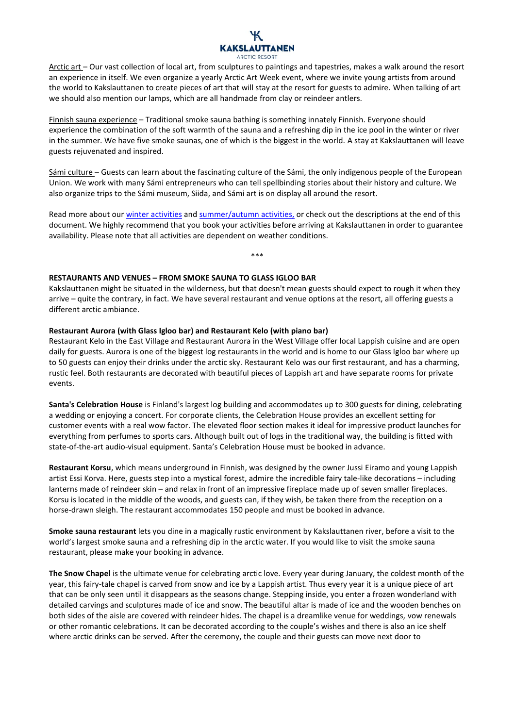# **ARCTIC RESORT**

Arctic art – Our vast collection of local art, from sculptures to paintings and tapestries, makes a walk around the resort an experience in itself. We even organize a yearly Arctic Art Week event, where we invite young artists from around the world to Kakslauttanen to create pieces of art that will stay at the resort for guests to admire. When talking of art we should also mention our lamps, which are all handmade from clay or reindeer antlers.

Finnish sauna experience – Traditional smoke sauna bathing is something innately Finnish. Everyone should experience the combination of the soft warmth of the sauna and a refreshing dip in the ice pool in the winter or river in the summer. We have five smoke saunas, one of which is the biggest in the world. A stay at Kakslauttanen will leave guests rejuvenated and inspired.

Sámi culture - Guests can learn about the fascinating culture of the Sámi, the only indigenous people of the European Union. We work with many Sámi entrepreneurs who can tell spellbinding stories about their history and culture. We also organize trips to the Sámi museum, Siida, and Sámi art is on display all around the resort.

Read more about our [winter activities](http://www.kakslauttanen.fi/en/winter-safaris/) an[d summer/autumn activities,](http://www.kakslauttanen.fi/en/summer/) or check out the descriptions at the end of this document. We highly recommend that you book your activities before arriving at Kakslauttanen in order to guarantee availability. Please note that all activities are dependent on weather conditions.

\*\*\*

# **RESTAURANTS AND VENUES – FROM SMOKE SAUNA TO GLASS IGLOO BAR**

Kakslauttanen might be situated in the wilderness, but that doesn't mean guests should expect to rough it when they arrive – quite the contrary, in fact. We have several restaurant and venue options at the resort, all offering guests a different arctic ambiance.

# **Restaurant Aurora (with Glass Igloo bar) and Restaurant Kelo (with piano bar)**

Restaurant Kelo in the East Village and Restaurant Aurora in the West Village offer local Lappish cuisine and are open daily for guests. Aurora is one of the biggest log restaurants in the world and is home to our Glass Igloo bar where up to 50 guests can enjoy their drinks under the arctic sky. Restaurant Kelo was our first restaurant, and has a charming, rustic feel. Both restaurants are decorated with beautiful pieces of Lappish art and have separate rooms for private events.

**Santa's Celebration House** is Finland's largest log building and accommodates up to 300 guests for dining, celebrating a wedding or enjoying a concert. For corporate clients, the Celebration House provides an excellent setting for customer events with a real wow factor. The elevated floor section makes it ideal for impressive product launches for everything from perfumes to sports cars. Although built out of logs in the traditional way, the building is fitted with state-of-the-art audio-visual equipment. Santa's Celebration House must be booked in advance.

**Restaurant Korsu**, which means underground in Finnish, was designed by the owner Jussi Eiramo and young Lappish artist Essi Korva. Here, guests step into a mystical forest, admire the incredible fairy tale-like decorations – including lanterns made of reindeer skin – and relax in front of an impressive fireplace made up of seven smaller fireplaces. Korsu is located in the middle of the woods, and guests can, if they wish, be taken there from the reception on a horse-drawn sleigh. The restaurant accommodates 150 people and must be booked in advance.

**Smoke sauna restaurant** lets you dine in a magically rustic environment by Kakslauttanen river, before a visit to the world's largest smoke sauna and a refreshing dip in the arctic water. If you would like to visit the smoke sauna restaurant, please make your booking in advance.

**The Snow Chapel** is the ultimate venue for celebrating arctic love. Every year during January, the coldest month of the year, this fairy-tale chapel is carved from snow and ice by a Lappish artist. Thus every year it is a unique piece of art that can be only seen until it disappears as the seasons change. Stepping inside, you enter a frozen wonderland with detailed carvings and sculptures made of ice and snow. The beautiful altar is made of ice and the wooden benches on both sides of the aisle are covered with reindeer hides. The chapel is a dreamlike venue for weddings, vow renewals or other romantic celebrations. It can be decorated according to the couple's wishes and there is also an ice shelf where arctic drinks can be served. After the ceremony, the couple and their guests can move next door to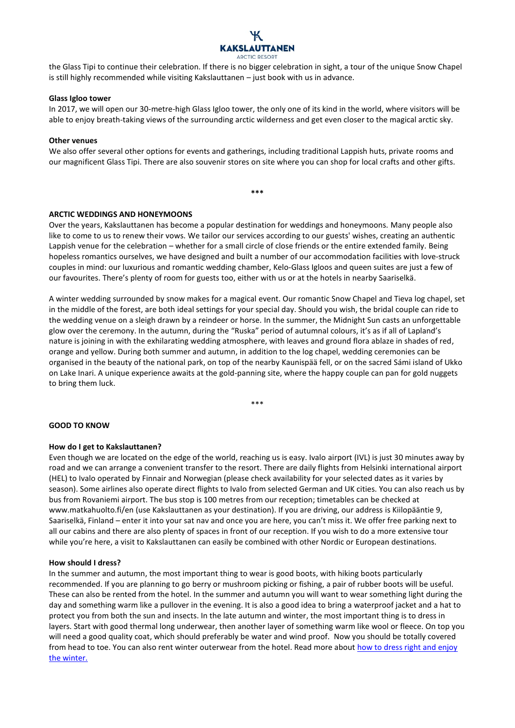

the Glass Tipi to continue their celebration. If there is no bigger celebration in sight, a tour of the unique Snow Chapel is still highly recommended while visiting Kakslauttanen – just book with us in advance.

## **Glass Igloo tower**

In 2017, we will open our 30-metre-high Glass Igloo tower, the only one of its kind in the world, where visitors will be able to enjoy breath-taking views of the surrounding arctic wilderness and get even closer to the magical arctic sky.

## **Other venues**

We also offer several other options for events and gatherings, including traditional Lappish huts, private rooms and our magnificent Glass Tipi. There are also souvenir stores on site where you can shop for local crafts and other gifts.

**\*\*\***

# **ARCTIC WEDDINGS AND HONEYMOONS**

Over the years, Kakslauttanen has become a popular destination for weddings and honeymoons. Many people also like to come to us to renew their vows. We tailor our services according to our guests' wishes, creating an authentic Lappish venue for the celebration – whether for a small circle of close friends or the entire extended family. Being hopeless romantics ourselves, we have designed and built a number of our accommodation facilities with love-struck couples in mind: our luxurious and romantic wedding chamber, Kelo-Glass Igloos and queen suites are just a few of our favourites. There's plenty of room for guests too, either with us or at the hotels in nearby Saariselkä.

A winter wedding surrounded by snow makes for a magical event. Our romantic Snow Chapel and Tieva log chapel, set in the middle of the forest, are both ideal settings for your special day. Should you wish, the bridal couple can ride to the wedding venue on a sleigh drawn by a reindeer or horse. In the summer, the Midnight Sun casts an unforgettable glow over the ceremony. In the autumn, during the "Ruska" period of autumnal colours, it's as if all of Lapland's nature is joining in with the exhilarating wedding atmosphere, with leaves and ground flora ablaze in shades of red, orange and yellow. During both summer and autumn, in addition to the log chapel, wedding ceremonies can be organised in the beauty of the national park, on top of the nearby Kaunispää fell, or on the sacred Sámi island of Ukko on Lake Inari. A unique experience awaits at the gold-panning site, where the happy couple can pan for gold nuggets to bring them luck.

\*\*\*

# **GOOD TO KNOW**

# **How do I get to Kakslauttanen?**

Even though we are located on the edge of the world, reaching us is easy. Ivalo airport (IVL) is just 30 minutes away by road and we can arrange a convenient transfer to the resort. There are daily flights from Helsinki international airport (HEL) to Ivalo operated by Finnair and Norwegian (please check availability for your selected dates as it varies by season). Some airlines also operate direct flights to Ivalo from selected German and UK cities. You can also reach us by bus from Rovaniemi airport. The bus stop is 100 metres from our reception; timetables can be checked at www.matkahuolto.fi/en (use Kakslauttanen as your destination). If you are driving, our address is Kiilopääntie 9, Saariselkä, Finland – enter it into your sat nav and once you are here, you can't miss it. We offer free parking next to all our cabins and there are also plenty of spaces in front of our reception. If you wish to do a more extensive tour while you're here, a visit to Kakslauttanen can easily be combined with other Nordic or European destinations.

## **How should I dress?**

In the summer and autumn, the most important thing to wear is good boots, with hiking boots particularly recommended. If you are planning to go berry or mushroom picking or fishing, a pair of rubber boots will be useful. These can also be rented from the hotel. In the summer and autumn you will want to wear something light during the day and something warm like a pullover in the evening. It is also a good idea to bring a waterproof jacket and a hat to protect you from both the sun and insects. In the late autumn and winter, the most important thing is to dress in layers. Start with good thermal long underwear, then another layer of something warm like wool or fleece. On top you will need a good quality coat, which should preferably be water and wind proof. Now you should be totally covered from head to toe. You can also rent winter outerwear from the hotel. Read more about [how to dress right and enjoy](http://www.visitfinland.com/article/how-to-dress-right-and-enjoy-the-winter/)  [the winter.](http://www.visitfinland.com/article/how-to-dress-right-and-enjoy-the-winter/)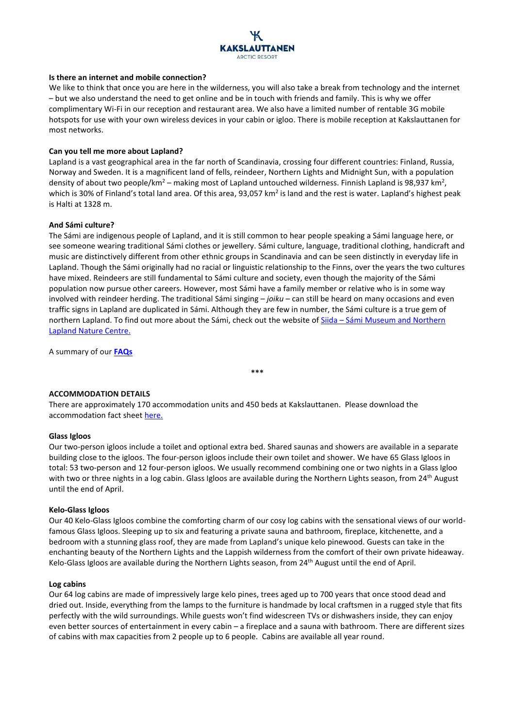

## **Is there an internet and mobile connection?**

We like to think that once you are here in the wilderness, you will also take a break from technology and the internet – but we also understand the need to get online and be in touch with friends and family. This is why we offer complimentary Wi-Fi in our reception and restaurant area. We also have a limited number of rentable 3G mobile hotspots for use with your own wireless devices in your cabin or igloo. There is mobile reception at Kakslauttanen for most networks.

## **Can you tell me more about Lapland?**

Lapland is a vast geographical area in the far north of Scandinavia, crossing four different countries: Finland, Russia, Norway and Sweden. It is a magnificent land of fells, reindeer, Northern Lights and Midnight Sun, with a population density of about two people/km<sup>2</sup> – making most of Lapland untouched wilderness. Finnish Lapland is 98,937 km<sup>2</sup>, which is 30% of Finland's total land area. Of this area, 93,057 km<sup>2</sup> is land and the rest is water. Lapland's highest peak is Halti at 1328 m.

### **And Sámi culture?**

The Sámi are indigenous people of Lapland, and it is still common to hear people speaking a Sámi language here, or see someone wearing traditional Sámi clothes or jewellery. Sámi culture, language, traditional clothing, handicraft and music are distinctively different from other ethnic groups in Scandinavia and can be seen distinctly in everyday life in Lapland. Though the Sámi originally had no racial or linguistic relationship to the Finns, over the years the two cultures have mixed. Reindeers are still fundamental to Sámi culture and society, even though the majority of the Sámi population now pursue other careers. However, most Sámi have a family member or relative who is in some way involved with reindeer herding. The traditional Sámi singing – *joiku* – can still be heard on many occasions and even traffic signs in Lapland are duplicated in Sámi. Although they are few in number, the Sámi culture is a true gem of northern Lapland. To find out more about the Sámi, check out the website of Siida – [Sámi Museum and Northern](http://www.siida.fi/contents?set_language=en)  [Lapland Nature Centre.](http://www.siida.fi/contents?set_language=en)

**\*\*\***

A summary of our **[FAQs](http://www.kakslauttanen.fi/en/faq/sami-people/)**

# **ACCOMMODATION DETAILS**

There are approximately 170 accommodation units and 450 beds at Kakslauttanen. Please download the accommodation fact sheet [here.](http://www.kakslauttanen.fi/en/kakslauttanen-fact-sheet)

### **Glass Igloos**

Our two-person igloos include a toilet and optional extra bed. Shared saunas and showers are available in a separate building close to the igloos. The four-person igloos include their own toilet and shower. We have 65 Glass Igloos in total: 53 two-person and 12 four-person igloos. We usually recommend combining one or two nights in a Glass Igloo with two or three nights in a log cabin. Glass Igloos are available during the Northern Lights season, from 24<sup>th</sup> August until the end of April.

### **Kelo-Glass Igloos**

Our 40 Kelo-Glass Igloos combine the comforting charm of our cosy log cabins with the sensational views of our worldfamous Glass Igloos. Sleeping up to six and featuring a private sauna and bathroom, fireplace, kitchenette, and a bedroom with a stunning glass roof, they are made from Lapland's unique kelo pinewood. Guests can take in the enchanting beauty of the Northern Lights and the Lappish wilderness from the comfort of their own private hideaway. Kelo-Glass Igloos are available during the Northern Lights season, from 24<sup>th</sup> August until the end of April.

### **Log cabins**

Our 64 log cabins are made of impressively large kelo pines, trees aged up to 700 years that once stood dead and dried out. Inside, everything from the lamps to the furniture is handmade by local craftsmen in a rugged style that fits perfectly with the wild surroundings. While guests won't find widescreen TVs or dishwashers inside, they can enjoy even better sources of entertainment in every cabin – a fireplace and a sauna with bathroom. There are different sizes of cabins with max capacities from 2 people up to 6 people. Cabins are available all year round.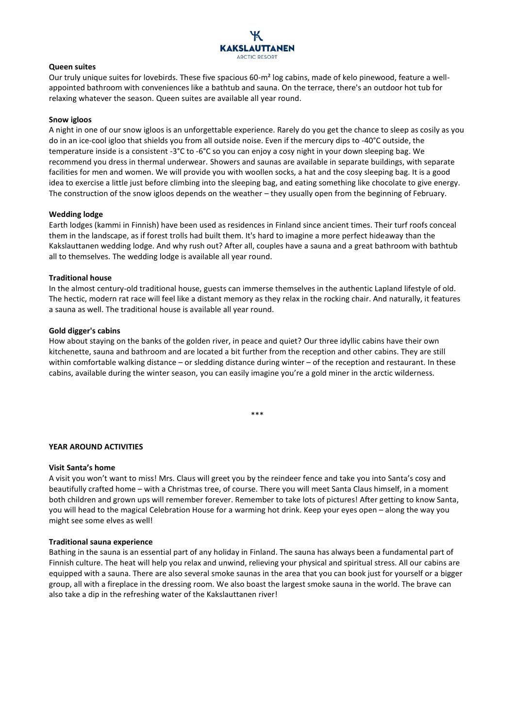

### **Queen suites**

Our truly unique suites for lovebirds. These five spacious 60-m<sup>2</sup> log cabins, made of kelo pinewood, feature a wellappointed bathroom with conveniences like a bathtub and sauna. On the terrace, there's an outdoor hot tub for relaxing whatever the season. Queen suites are available all year round.

### **Snow igloos**

A night in one of our snow igloos is an unforgettable experience. Rarely do you get the chance to sleep as cosily as you do in an ice-cool igloo that shields you from all outside noise. Even if the mercury dips to -40°C outside, the temperature inside is a consistent -3°C to -6°C so you can enjoy a cosy night in your down sleeping bag. We recommend you dress in thermal underwear. Showers and saunas are available in separate buildings, with separate facilities for men and women. We will provide you with woollen socks, a hat and the cosy sleeping bag. It is a good idea to exercise a little just before climbing into the sleeping bag, and eating something like chocolate to give energy. The construction of the snow igloos depends on the weather – they usually open from the beginning of February.

### **Wedding lodge**

Earth lodges (kammi in Finnish) have been used as residences in Finland since ancient times. Their turf roofs conceal them in the landscape, as if forest trolls had built them. It's hard to imagine a more perfect hideaway than the Kakslauttanen wedding lodge. And why rush out? After all, couples have a sauna and a great bathroom with bathtub all to themselves. The wedding lodge is available all year round.

## **Traditional house**

In the almost century-old traditional house, guests can immerse themselves in the authentic Lapland lifestyle of old. The hectic, modern rat race will feel like a distant memory as they relax in the rocking chair. And naturally, it features a sauna as well. The traditional house is available all year round.

## **Gold digger's cabins**

How about staying on the banks of the golden river, in peace and quiet? Our three idyllic cabins have their own kitchenette, sauna and bathroom and are located a bit further from the reception and other cabins. They are still within comfortable walking distance – or sledding distance during winter – of the reception and restaurant. In these cabins, available during the winter season, you can easily imagine you're a gold miner in the arctic wilderness.

\*\*\*

# **YEAR AROUND ACTIVITIES**

### **Visit Santa's home**

A visit you won't want to miss! Mrs. Claus will greet you by the reindeer fence and take you into Santa's cosy and beautifully crafted home – with a Christmas tree, of course. There you will meet Santa Claus himself, in a moment both children and grown ups will remember forever. Remember to take lots of pictures! After getting to know Santa, you will head to the magical Celebration House for a warming hot drink. Keep your eyes open – along the way you might see some elves as well!

### **Traditional sauna experience**

Bathing in the sauna is an essential part of any holiday in Finland. The sauna has always been a fundamental part of Finnish culture. The heat will help you relax and unwind, relieving your physical and spiritual stress. All our cabins are equipped with a sauna. There are also several smoke saunas in the area that you can book just for yourself or a bigger group, all with a fireplace in the dressing room. We also boast the largest smoke sauna in the world. The brave can also take a dip in the refreshing water of the Kakslauttanen river!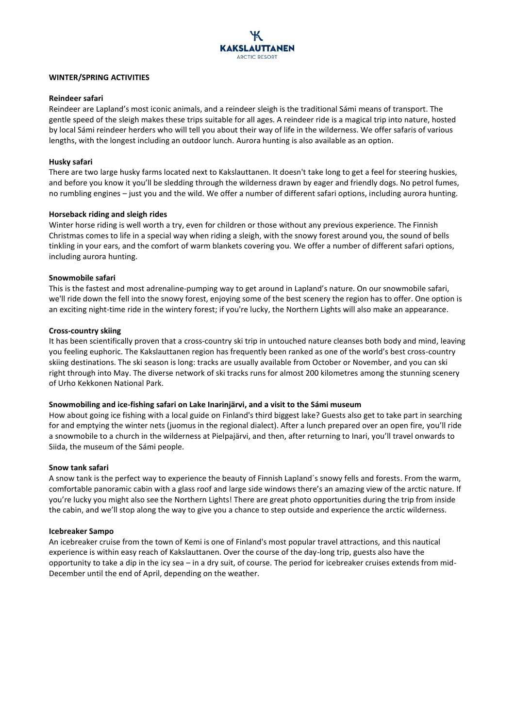

## **WINTER/SPRING ACTIVITIES**

# **Reindeer safari**

Reindeer are Lapland's most iconic animals, and a reindeer sleigh is the traditional Sámi means of transport. The gentle speed of the sleigh makes these trips suitable for all ages. A reindeer ride is a magical trip into nature, hosted by local Sámi reindeer herders who will tell you about their way of life in the wilderness. We offer safaris of various lengths, with the longest including an outdoor lunch. Aurora hunting is also available as an option.

# **Husky safari**

There are two large husky farms located next to Kakslauttanen. It doesn't take long to get a feel for steering huskies, and before you know it you'll be sledding through the wilderness drawn by eager and friendly dogs. No petrol fumes, no rumbling engines – just you and the wild. We offer a number of different safari options, including aurora hunting.

## **Horseback riding and sleigh rides**

Winter horse riding is well worth a try, even for children or those without any previous experience. The Finnish Christmas comes to life in a special way when riding a sleigh, with the snowy forest around you, the sound of bells tinkling in your ears, and the comfort of warm blankets covering you. We offer a number of different safari options, including aurora hunting.

## **Snowmobile safari**

This is the fastest and most adrenaline-pumping way to get around in Lapland's nature. On our snowmobile safari, we'll ride down the fell into the snowy forest, enjoying some of the best scenery the region has to offer. One option is an exciting night-time ride in the wintery forest; if you're lucky, the Northern Lights will also make an appearance.

## **Cross-country skiing**

It has been scientifically proven that a cross-country ski trip in untouched nature cleanses both body and mind, leaving you feeling euphoric. The Kakslauttanen region has frequently been ranked as one of the world's best cross-country skiing destinations. The ski season is long: tracks are usually available from October or November, and you can ski right through into May. The diverse network of ski tracks runs for almost 200 kilometres among the stunning scenery of Urho Kekkonen National Park.

# **Snowmobiling and ice-fishing safari on Lake Inarinjärvi, and a visit to the Sámi museum**

How about going ice fishing with a local guide on Finland's third biggest lake? Guests also get to take part in searching for and emptying the winter nets (juomus in the regional dialect). After a lunch prepared over an open fire, you'll ride a snowmobile to a church in the wilderness at Pielpajärvi, and then, after returning to Inari, you'll travel onwards to Siida, the museum of the Sámi people.

### **Snow tank safari**

A snow tank is the perfect way to experience the beauty of Finnish Lapland´s snowy fells and forests. From the warm, comfortable panoramic cabin with a glass roof and large side windows there's an amazing view of the arctic nature. If you're lucky you might also see the Northern Lights! There are great photo opportunities during the trip from inside the cabin, and we'll stop along the way to give you a chance to step outside and experience the arctic wilderness.

### **Icebreaker Sampo**

An icebreaker cruise from the town of Kemi is one of Finland's most popular travel attractions, and this nautical experience is within easy reach of Kakslauttanen. Over the course of the day-long trip, guests also have the opportunity to take a dip in the icy sea – in a dry suit, of course. The period for icebreaker cruises extends from mid-December until the end of April, depending on the weather.